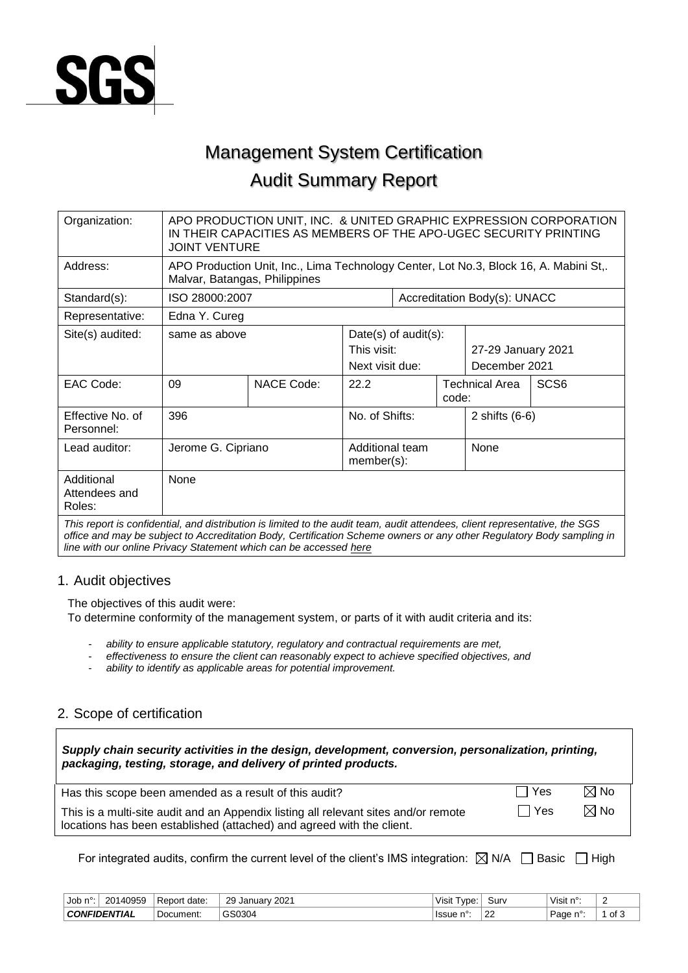

# Management System Certification Audit Summary Report

| Organization:                                                                                                                                                                                                                                                                                                             | APO PRODUCTION UNIT, INC. & UNITED GRAPHIC EXPRESSION CORPORATION<br>IN THEIR CAPACITIES AS MEMBERS OF THE APO-UGEC SECURITY PRINTING<br><b>JOINT VENTURE</b> |                                                                                                                        |                                                           |  |                                     |                              |                  |
|---------------------------------------------------------------------------------------------------------------------------------------------------------------------------------------------------------------------------------------------------------------------------------------------------------------------------|---------------------------------------------------------------------------------------------------------------------------------------------------------------|------------------------------------------------------------------------------------------------------------------------|-----------------------------------------------------------|--|-------------------------------------|------------------------------|------------------|
| Address:                                                                                                                                                                                                                                                                                                                  |                                                                                                                                                               | APO Production Unit, Inc., Lima Technology Center, Lot No.3, Block 16, A. Mabini St,.<br>Malvar, Batangas, Philippines |                                                           |  |                                     |                              |                  |
| Standard(s):                                                                                                                                                                                                                                                                                                              | ISO 28000:2007                                                                                                                                                |                                                                                                                        |                                                           |  |                                     | Accreditation Body(s): UNACC |                  |
| Representative:                                                                                                                                                                                                                                                                                                           | Edna Y. Cureg                                                                                                                                                 |                                                                                                                        |                                                           |  |                                     |                              |                  |
| Site(s) audited:                                                                                                                                                                                                                                                                                                          | same as above                                                                                                                                                 |                                                                                                                        | Date(s) of $audit(s)$ :<br>This visit:<br>Next visit due: |  | 27-29 January 2021<br>December 2021 |                              |                  |
| EAC Code:                                                                                                                                                                                                                                                                                                                 | 09                                                                                                                                                            | <b>NACE Code:</b>                                                                                                      | 22.2                                                      |  | code:                               | <b>Technical Area</b>        | SCS <sub>6</sub> |
| Effective No. of<br>Personnel:                                                                                                                                                                                                                                                                                            | 396                                                                                                                                                           |                                                                                                                        | No. of Shifts:                                            |  |                                     | 2 shifts $(6-6)$             |                  |
| Lead auditor:                                                                                                                                                                                                                                                                                                             | Jerome G. Cipriano                                                                                                                                            |                                                                                                                        | Additional team<br>member(s):                             |  | None                                |                              |                  |
| Additional<br>Attendees and<br>Roles:                                                                                                                                                                                                                                                                                     | None                                                                                                                                                          |                                                                                                                        |                                                           |  |                                     |                              |                  |
| This report is confidential, and distribution is limited to the audit team, audit attendees, client representative, the SGS<br>office and may be subject to Accreditation Body, Certification Scheme owners or any other Regulatory Body sampling in<br>line with our online Privacy Statement which can be accessed here |                                                                                                                                                               |                                                                                                                        |                                                           |  |                                     |                              |                  |

1. Audit objectives

The objectives of this audit were:

To determine conformity of the management system, or parts of it with audit criteria and its:

- *ability to ensure applicable statutory, regulatory and contractual requirements are met,*
- *effectiveness to ensure the client can reasonably expect to achieve specified objectives, and*
- *ability to identify as applicable areas for potential improvement.*

## 2. Scope of certification

| Supply chain security activities in the design, development, conversion, personalization, printing, |  |
|-----------------------------------------------------------------------------------------------------|--|
| packaging, testing, storage, and delivery of printed products.                                      |  |
|                                                                                                     |  |

| Has this scope been amended as a result of this audit?                                                                                                       | l l Yes | $\boxtimes$ No |
|--------------------------------------------------------------------------------------------------------------------------------------------------------------|---------|----------------|
| This is a multi-site audit and an Appendix listing all relevant sites and/or remote<br>locations has been established (attached) and agreed with the client. | ∣ Yes   | $\boxtimes$ No |

For integrated audits, confirm the current level of the client's IMS integration:  $\boxtimes$  N/A  $\Box$  Basic  $\Box$  High

| Job<br>".       | 140959<br>201.<br>—∪ · | date:<br>Report | 000 <sup>4</sup><br>29 January<br>ZUZ | $\cdots$<br>vpe.<br>Visit | Sur∖         | <sup>⊟</sup> Visit n<br>nv. |      |
|-----------------|------------------------|-----------------|---------------------------------------|---------------------------|--------------|-----------------------------|------|
| <b>CONFIDEN</b> | ™TIAL                  | Document:       | GS0304                                | Issue                     | $\sim$<br>∠∠ | $\sim$ 0.<br>Page           | of 3 |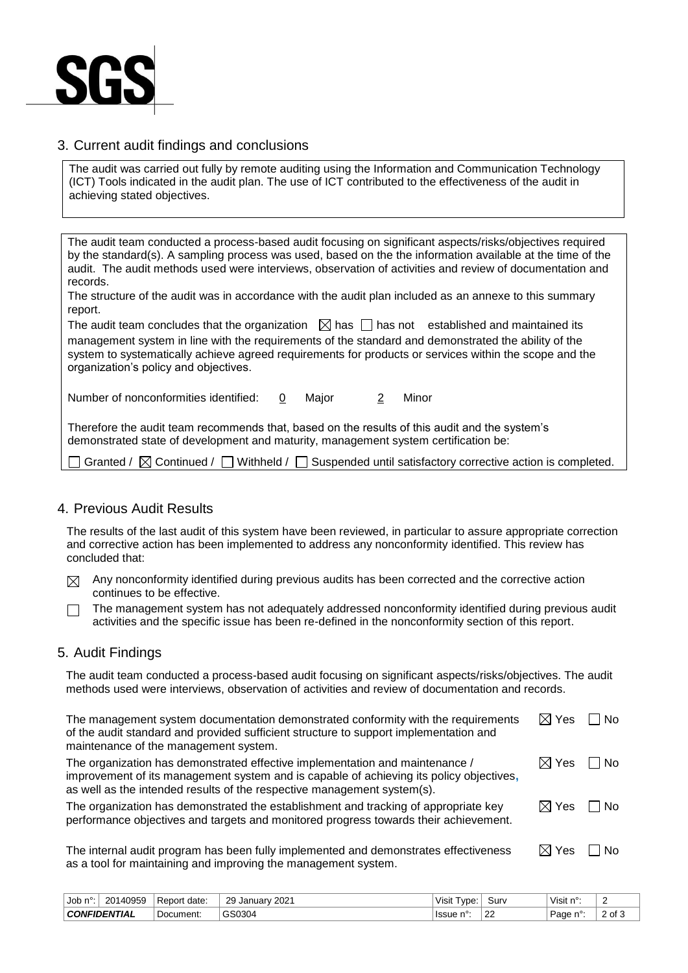

### 3. Current audit findings and conclusions

The audit was carried out fully by remote auditing using the Information and Communication Technology (ICT) Tools indicated in the audit plan. The use of ICT contributed to the effectiveness of the audit in achieving stated objectives.

The audit team conducted a process-based audit focusing on significant aspects/risks/objectives required by the standard(s). A sampling process was used, based on the the information available at the time of the audit. The audit methods used were interviews, observation of activities and review of documentation and records.

The structure of the audit was in accordance with the audit plan included as an annexe to this summary report.

The audit team concludes that the organization  $\boxtimes$  has  $\Box$  has not established and maintained its management system in line with the requirements of the standard and demonstrated the ability of the system to systematically achieve agreed requirements for products or services within the scope and the organization's policy and objectives.

Number of nonconformities identified: 0 Major 2 Minor

Therefore the audit team recommends that, based on the results of this audit and the system's demonstrated state of development and maturity, management system certification be:

|  |  |  | Granted / $\boxtimes$ Continued / $\Box$ Withheld / $\Box$ Suspended until satisfactory corrective action is completed. |
|--|--|--|-------------------------------------------------------------------------------------------------------------------------|
|--|--|--|-------------------------------------------------------------------------------------------------------------------------|

### 4. Previous Audit Results

The results of the last audit of this system have been reviewed, in particular to assure appropriate correction and corrective action has been implemented to address any nonconformity identified. This review has concluded that:

 $\boxtimes$  Any nonconformity identified during previous audits has been corrected and the corrective action continues to be effective.

The management system has not adequately addressed nonconformity identified during previous audit П activities and the specific issue has been re-defined in the nonconformity section of this report.

#### 5. Audit Findings

The audit team conducted a process-based audit focusing on significant aspects/risks/objectives. The audit methods used were interviews, observation of activities and review of documentation and records.

| The management system documentation demonstrated conformity with the requirements<br>of the audit standard and provided sufficient structure to support implementation and<br>maintenance of the management system.                                | $\boxtimes$ Yes           | l INo                 |
|----------------------------------------------------------------------------------------------------------------------------------------------------------------------------------------------------------------------------------------------------|---------------------------|-----------------------|
| The organization has demonstrated effective implementation and maintenance /<br>improvement of its management system and is capable of achieving its policy objectives,<br>as well as the intended results of the respective management system(s). | $\boxtimes$ Yes $\Box$ No |                       |
| The organization has demonstrated the establishment and tracking of appropriate key<br>performance objectives and targets and monitored progress towards their achievement.                                                                        | $\boxtimes$ Yes $\Box$ No |                       |
| The internal quidit program has been fully implemented and demonstrates effectiveness                                                                                                                                                              | M Voe                     | $\overline{\text{N}}$ |

The internal audit program has been fully implemented and demonstrates effectiveness as a tool for maintaining and improving the management system.  $\boxtimes$  Yes  $\Box$  No

| Job<br>∽. | 20140959            | date:<br>Report | 2021<br>29<br>∪anuarv | vpe:<br>Visit | Surv         | Visit n°: | $\sqrt{2}$<br>- |
|-----------|---------------------|-----------------|-----------------------|---------------|--------------|-----------|-----------------|
|           | <b>CONFIDENTIAL</b> | Document:       | GS0304                | ⊟issue n°     | $\sim$<br>__ | Page n°:  | ? of ພ          |